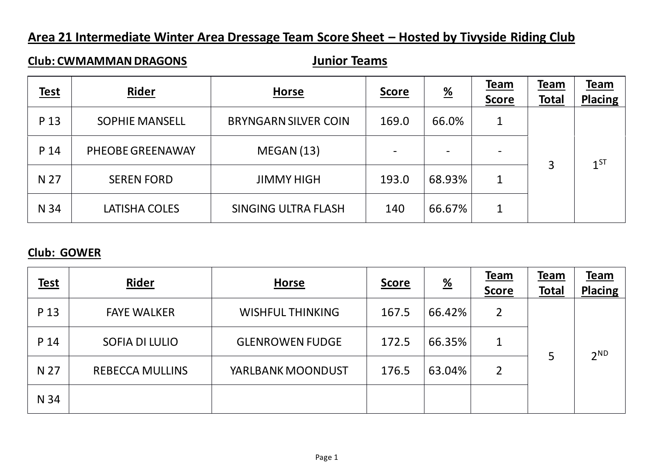# **Area 21 Intermediate Winter Area Dressage Team Score Sheet – Hosted by Tivyside Riding Club**

## **Club: CWMAMMAN DRAGONS Junior Teams**

| <b>Test</b> | Rider                 | <b>Horse</b>                | <b>Score</b> | $\frac{\%}{\sqrt{2}}$    | Team<br><b>Score</b> | Team<br><b>Total</b> | <b>Team</b><br><b>Placing</b> |
|-------------|-----------------------|-----------------------------|--------------|--------------------------|----------------------|----------------------|-------------------------------|
| P 13        | <b>SOPHIE MANSELL</b> | <b>BRYNGARN SILVER COIN</b> | 169.0        | 66.0%                    |                      |                      |                               |
| P 14        | PHEOBE GREENAWAY      | MEGAN(13)                   |              | $\overline{\phantom{a}}$ |                      | 3                    | $1^{ST}$                      |
| N 27        | <b>SEREN FORD</b>     | <b>JIMMY HIGH</b>           | 193.0        | 68.93%                   | 1                    |                      |                               |
| N 34        | LATISHA COLES         | <b>SINGING ULTRA FLASH</b>  | 140          | 66.67%                   | 1                    |                      |                               |

#### **Club: GOWER**

| <b>Test</b> | <b>Rider</b>           | <b>Horse</b>            | <u>Score</u> | $\frac{\%}{\sqrt{2}}$ | Team<br><b>Score</b> | Team<br><b>Total</b> | Team<br><b>Placing</b> |
|-------------|------------------------|-------------------------|--------------|-----------------------|----------------------|----------------------|------------------------|
| P 13        | <b>FAYE WALKER</b>     | <b>WISHFUL THINKING</b> | 167.5        | 66.42%                | 2                    |                      |                        |
| P 14        | <b>SOFIA DI LULIO</b>  | <b>GLENROWEN FUDGE</b>  | 172.5        | 66.35%                |                      |                      | 2 <sup>ND</sup>        |
| N 27        | <b>REBECCA MULLINS</b> | YARLBANK MOONDUST       | 176.5        | 63.04%                | 2                    |                      |                        |
| N 34        |                        |                         |              |                       |                      |                      |                        |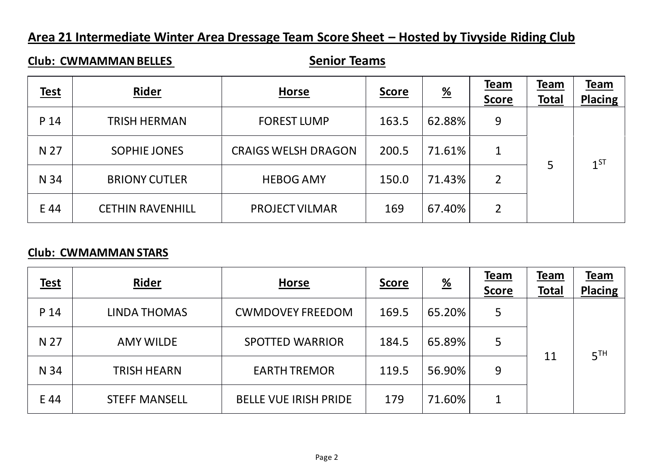# **Area 21 Intermediate Winter Area Dressage Team Score Sheet – Hosted by Tivyside Riding Club**

## **Club: CWMAMMAN BELLES** *Senior Teams*

| <b>Test</b> | Rider                   | <b>Horse</b>               | <b>Score</b> | $\frac{\%}{\sqrt{2}}$ | <b>Team</b><br><b>Score</b> | <u>Team</u><br><b>Total</b> | Team<br><b>Placing</b> |
|-------------|-------------------------|----------------------------|--------------|-----------------------|-----------------------------|-----------------------------|------------------------|
| P 14        | <b>TRISH HERMAN</b>     | <b>FOREST LUMP</b>         | 163.5        | 62.88%                | 9                           |                             |                        |
| N 27        | <b>SOPHIE JONES</b>     | <b>CRAIGS WELSH DRAGON</b> | 200.5        | 71.61%                | 1                           |                             | $1^{ST}$               |
| N 34        | <b>BRIONY CUTLER</b>    | <b>HEBOG AMY</b>           | 150.0        | 71.43%                | $\overline{2}$              |                             |                        |
| E 44        | <b>CETHIN RAVENHILL</b> | <b>PROJECT VILMAR</b>      | 169          | 67.40%                | 2                           |                             |                        |

#### **Club: CWMAMMAN STARS**

| <b>Test</b> | Rider                | <b>Horse</b>                 | <b>Score</b> | $\frac{\%}{\%}$ | <b>Team</b><br><b>Score</b> | Team<br><b>Total</b> | <u>Team</u><br><b>Placing</b> |
|-------------|----------------------|------------------------------|--------------|-----------------|-----------------------------|----------------------|-------------------------------|
| P 14        | <b>LINDA THOMAS</b>  | <b>CWMDOVEY FREEDOM</b>      | 169.5        | 65.20%          | 5                           |                      |                               |
| N 27        | <b>AMY WILDE</b>     | <b>SPOTTED WARRIOR</b>       | 184.5        | 65.89%          | 5                           |                      | 5 <sup>TH</sup>               |
| N 34        | <b>TRISH HEARN</b>   | <b>EARTH TREMOR</b>          | 119.5        | 56.90%          | 9                           | 11                   |                               |
| E 44        | <b>STEFF MANSELL</b> | <b>BELLE VUE IRISH PRIDE</b> | 179          | 71.60%          | 1                           |                      |                               |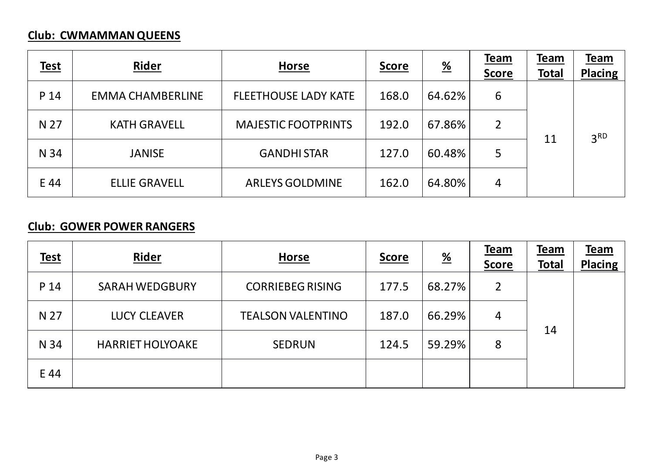# **Club: CWMAMMAN QUEENS**

| <u>Test</u> | Rider                   | <b>Horse</b>                | <b>Score</b> | $\frac{\%}{\sqrt{2}}$ | <b>Team</b><br><b>Score</b> | Team<br><b>Total</b> | <u>Team</u><br><b>Placing</b> |
|-------------|-------------------------|-----------------------------|--------------|-----------------------|-----------------------------|----------------------|-------------------------------|
| P 14        | <b>EMMA CHAMBERLINE</b> | <b>FLEETHOUSE LADY KATE</b> | 168.0        | 64.62%                | 6                           |                      | 3 <sup>RD</sup>               |
| N 27        | <b>KATH GRAVELL</b>     | <b>MAJESTIC FOOTPRINTS</b>  | 192.0        | 67.86%                | 2                           | 11                   |                               |
| N 34        | <b>JANISE</b>           | <b>GANDHI STAR</b>          | 127.0        | 60.48%                | 5                           |                      |                               |
| E 44        | <b>ELLIE GRAVELL</b>    | <b>ARLEYS GOLDMINE</b>      | 162.0        | 64.80%                | 4                           |                      |                               |

## **Club: GOWER POWER RANGERS**

| <b>Test</b> | Rider                   | <b>Horse</b>             | <b>Score</b> | $\frac{\%}{\%}$ | <b>Team</b><br><b>Score</b> | Team<br><b>Total</b> | Team<br><b>Placing</b> |
|-------------|-------------------------|--------------------------|--------------|-----------------|-----------------------------|----------------------|------------------------|
| P 14        | <b>SARAH WEDGBURY</b>   | <b>CORRIEBEG RISING</b>  | 177.5        | 68.27%          | 2                           |                      |                        |
| N 27        | <b>LUCY CLEAVER</b>     | <b>TEALSON VALENTINO</b> | 187.0        | 66.29%          | 4                           |                      |                        |
| N 34        | <b>HARRIET HOLYOAKE</b> | <b>SEDRUN</b>            | 124.5        | 59.29%          | 8                           | 14                   |                        |
| E 44        |                         |                          |              |                 |                             |                      |                        |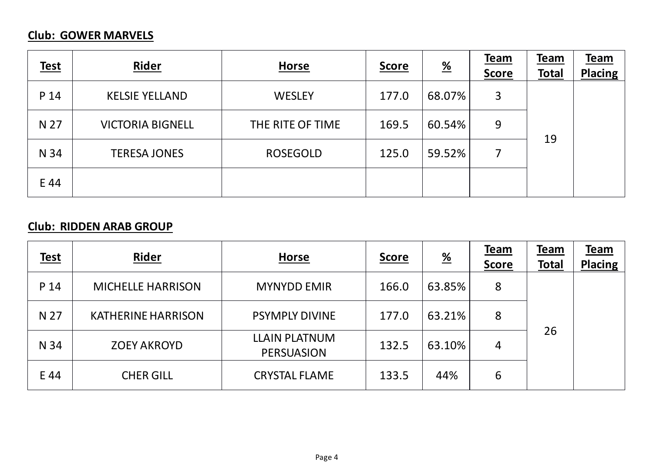## **Club: GOWER MARVELS**

| <b>Test</b> | Rider                   | <b>Horse</b>     | <b>Score</b> | $\frac{\%}{\sqrt{2}}$ | Team<br><b>Score</b> | <b>Team</b><br><b>Total</b> | <u>Team</u><br><b>Placing</b> |
|-------------|-------------------------|------------------|--------------|-----------------------|----------------------|-----------------------------|-------------------------------|
| P 14        | <b>KELSIE YELLAND</b>   | <b>WESLEY</b>    | 177.0        | 68.07%                | 3                    |                             |                               |
| N 27        | <b>VICTORIA BIGNELL</b> | THE RITE OF TIME | 169.5        | 60.54%                | 9                    | 19                          |                               |
| N 34        | <b>TERESA JONES</b>     | <b>ROSEGOLD</b>  | 125.0        | 59.52%                |                      |                             |                               |
| E 44        |                         |                  |              |                       |                      |                             |                               |

## **Club: RIDDEN ARAB GROUP**

| <b>Test</b> | Rider                     | <b>Horse</b>                              | <b>Score</b> | $\frac{\%}{\phantom{0}}$ | <b>Team</b><br><b>Score</b> | <b>Team</b><br><b>Total</b> | <u>Team</u><br><b>Placing</b> |
|-------------|---------------------------|-------------------------------------------|--------------|--------------------------|-----------------------------|-----------------------------|-------------------------------|
| P 14        | <b>MICHELLE HARRISON</b>  | <b>MYNYDD EMIR</b>                        | 166.0        | 63.85%                   | 8                           |                             |                               |
| N 27        | <b>KATHERINE HARRISON</b> | <b>PSYMPLY DIVINE</b>                     | 177.0        | 63.21%                   | 8                           |                             |                               |
| N 34        | <b>ZOEY AKROYD</b>        | <b>LLAIN PLATNUM</b><br><b>PERSUASION</b> | 132.5        | 63.10%                   | 4                           | 26                          |                               |
| E 44        | <b>CHER GILL</b>          | <b>CRYSTAL FLAME</b>                      | 133.5        | 44%                      | 6                           |                             |                               |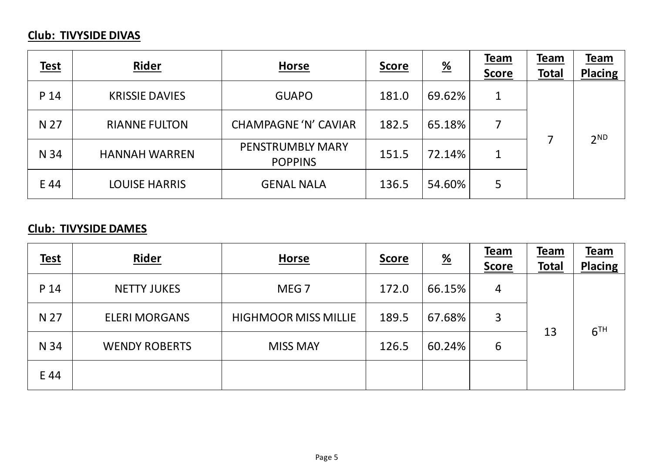# **Club: TIVYSIDE DIVAS**

| <b>Test</b> | Rider                 | <b>Horse</b>                              | <u>Score</u> | $\frac{\%}{\sqrt{2}}$ | <b>Team</b><br><b>Score</b> | <b>Team</b><br><b>Total</b> | Team<br><b>Placing</b> |
|-------------|-----------------------|-------------------------------------------|--------------|-----------------------|-----------------------------|-----------------------------|------------------------|
| P 14        | <b>KRISSIE DAVIES</b> | <b>GUAPO</b>                              | 181.0        | 69.62%                |                             |                             |                        |
| N 27        | <b>RIANNE FULTON</b>  | <b>CHAMPAGNE 'N' CAVIAR</b>               | 182.5        | 65.18%                |                             |                             | 2 <sub>ND</sub>        |
| N 34        | <b>HANNAH WARREN</b>  | <b>PENSTRUMBLY MARY</b><br><b>POPPINS</b> | 151.5        | 72.14%                |                             |                             |                        |
| E 44        | <b>LOUISE HARRIS</b>  | <b>GENAL NALA</b>                         | 136.5        | 54.60%                | 5                           |                             |                        |

## **Club: TIVYSIDE DAMES**

| <b>Test</b> | Rider                | <b>Horse</b>                | <u>Score</u> | $\frac{\%}{\sqrt{2}}$ | <b>Team</b><br><b>Score</b> | <b>Team</b><br><b>Total</b> | Team<br><b>Placing</b> |
|-------------|----------------------|-----------------------------|--------------|-----------------------|-----------------------------|-----------------------------|------------------------|
| P 14        | <b>NETTY JUKES</b>   | MEG <sub>7</sub>            | 172.0        | 66.15%                | 4                           |                             |                        |
| N 27        | <b>ELERI MORGANS</b> | <b>HIGHMOOR MISS MILLIE</b> | 189.5        | 67.68%                | 3                           |                             | 6 <sup>TH</sup>        |
| N 34        | <b>WENDY ROBERTS</b> | <b>MISS MAY</b>             | 126.5        | 60.24%                | 6                           | 13                          |                        |
| E 44        |                      |                             |              |                       |                             |                             |                        |